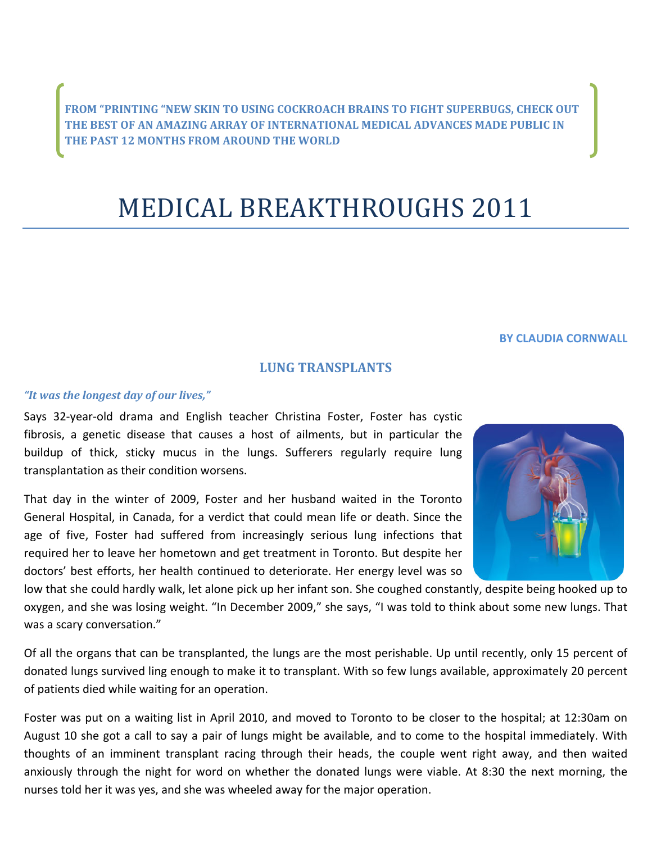**FROM "PRINTING "NEW SKIN TO USING COCKROACH BRAINS TO FIGHT SUPERBUGS, CHECK OUT THE BEST OF AN AMAZING ARRAY OF INTERNATIONAL MEDICAL ADVANCES MADE PUBLIC IN THE PAST 12 MONTHS FROM AROUND THE WORLD**

# MEDICAL BREAKTHROUGHS 2011

#### **BY CLAUDIA CORNWALL**

## **LUNG TRANSPLANTS**

#### *"It was the longest day of our lives,"*

Says 32‐year‐old drama and English teacher Christina Foster, Foster has cystic fibrosis, a genetic disease that causes a host of ailments, but in particular the buildup of thick, sticky mucus in the lungs. Sufferers regularly require lung transplantation as their condition worsens.

That day in the winter of 2009, Foster and her husband waited in the Toronto General Hospital, in Canada, for a verdict that could mean life or death. Since the age of five, Foster had suffered from increasingly serious lung infections that required her to leave her hometown and get treatment in Toronto. But despite her doctors' best efforts, her health continued to deteriorate. Her energy level was so

low that she could hardly walk, let alone pick up her infant son. She coughed constantly, despite being hooked up to oxygen, and she was losing weight. "In December 2009," she says, "I was told to think about some new lungs. That was a scary conversation."

Of all the organs that can be transplanted, the lungs are the most perishable. Up until recently, only 15 percent of donated lungs survived ling enough to make it to transplant. With so few lungs available, approximately 20 percent of patients died while waiting for an operation.

Foster was put on a waiting list in April 2010, and moved to Toronto to be closer to the hospital; at 12:30am on August 10 she got a call to say a pair of lungs might be available, and to come to the hospital immediately. With thoughts of an imminent transplant racing through their heads, the couple went right away, and then waited anxiously through the night for word on whether the donated lungs were viable. At 8:30 the next morning, the nurses told her it was yes, and she was wheeled away for the major operation.

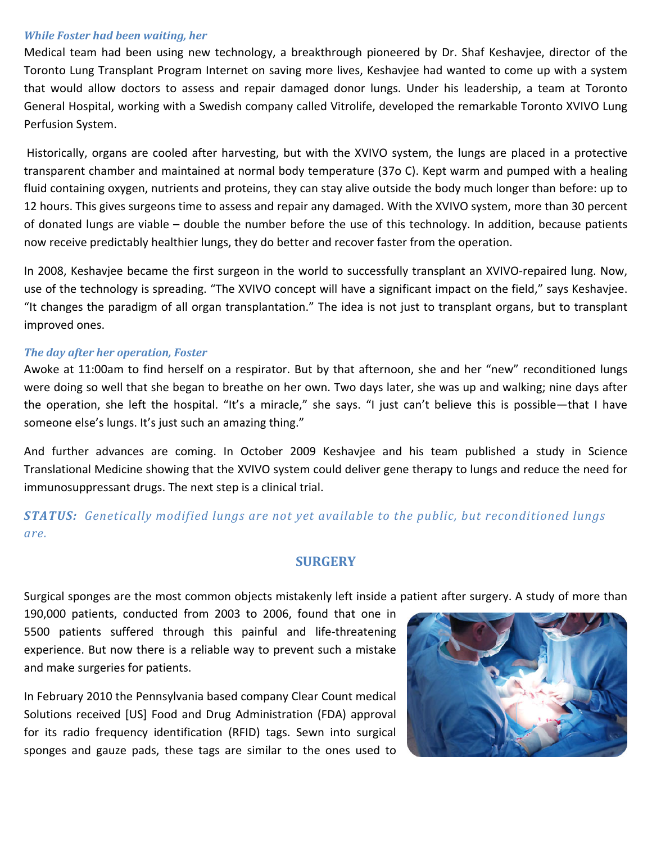#### *While Foster had been waiting, her*

Medical team had been using new technology, a breakthrough pioneered by Dr. Shaf Keshavjee, director of the Toronto Lung Transplant Program Internet on saving more lives, Keshavjee had wanted to come up with a system that would allow doctors to assess and repair damaged donor lungs. Under his leadership, a team at Toronto General Hospital, working with a Swedish company called Vitrolife, developed the remarkable Toronto XVIVO Lung Perfusion System.

Historically, organs are cooled after harvesting, but with the XVIVO system, the lungs are placed in a protective transparent chamber and maintained at normal body temperature (37o C). Kept warm and pumped with a healing fluid containing oxygen, nutrients and proteins, they can stay alive outside the body much longer than before: up to 12 hours. This gives surgeons time to assess and repair any damaged. With the XVIVO system, more than 30 percent of donated lungs are viable – double the number before the use of this technology. In addition, because patients now receive predictably healthier lungs, they do better and recover faster from the operation.

In 2008, Keshavjee became the first surgeon in the world to successfully transplant an XVIVO-repaired lung. Now, use of the technology is spreading. "The XVIVO concept will have a significant impact on the field," says Keshavjee. "It changes the paradigm of all organ transplantation." The idea is not just to transplant organs, but to transplant improved ones.

#### *The day after her operation, Foster*

Awoke at 11:00am to find herself on a respirator. But by that afternoon, she and her "new" reconditioned lungs were doing so well that she began to breathe on her own. Two days later, she was up and walking; nine days after the operation, she left the hospital. "It's a miracle," she says. "I just can't believe this is possible—that I have someone else's lungs. It's just such an amazing thing."

And further advances are coming. In October 2009 Keshavjee and his team published a study in Science Translational Medicine showing that the XVIVO system could deliver gene therapy to lungs and reduce the need for immunosuppressant drugs. The next step is a clinical trial.

# *STATUS: Genetically modified lungs are not yet available to the public, but reconditioned lungs are.*

#### **SURGERY**

Surgical sponges are the most common objects mistakenly left inside a patient after surgery. A study of more than

190,000 patients, conducted from 2003 to 2006, found that one in 5500 patients suffered through this painful and life-threatening experience. But now there is a reliable way to prevent such a mistake and make surgeries for patients.

In February 2010 the Pennsylvania based company Clear Count medical Solutions received [US] Food and Drug Administration (FDA) approval for its radio frequency identification (RFID) tags. Sewn into surgical sponges and gauze pads, these tags are similar to the ones used to

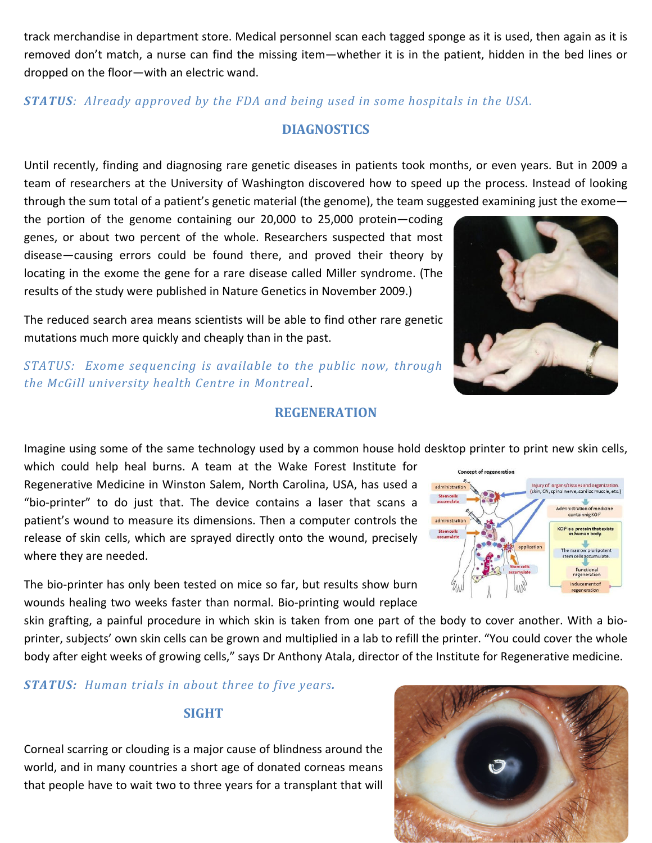track merchandise in department store. Medical personnel scan each tagged sponge as it is used, then again as it is removed don't match, a nurse can find the missing item—whether it is in the patient, hidden in the bed lines or dropped on the floor—with an electric wand.

*STATUS: Already approved by the FDA and being used in some hospitals in the USA.*

# **DIAGNOSTICS**

Until recently, finding and diagnosing rare genetic diseases in patients took months, or even years. But in 2009 a team of researchers at the University of Washington discovered how to speed up the process. Instead of looking through the sum total of a patient's genetic material (the genome), the team suggested examining just the exome—

the portion of the genome containing our 20,000 to 25,000 protein—coding genes, or about two percent of the whole. Researchers suspected that most disease—causing errors could be found there, and proved their theory by locating in the exome the gene for a rare disease called Miller syndrome. (The results of the study were published in Nature Genetics in November 2009.)

The reduced search area means scientists will be able to find other rare genetic mutations much more quickly and cheaply than in the past.

*STATUS: Exome sequencing is available to the public now, through the McGill university health Centre in Montreal*.

## **REGENERATION**

Imagine using some of the same technology used by a common house hold desktop printer to print new skin cells,

which could help heal burns. A team at the Wake Forest Institute for Regenerative Medicine in Winston Salem, North Carolina, USA, has used a "bio‐printer" to do just that. The device contains a laser that scans a patient's wound to measure its dimensions. Then a computer controls the release of skin cells, which are sprayed directly onto the wound, precisely where they are needed.

The bio-printer has only been tested on mice so far, but results show burn wounds healing two weeks faster than normal. Bio‐printing would replace

skin grafting, a painful procedure in which skin is taken from one part of the body to cover another. With a bio‐ printer, subjects' own skin cells can be grown and multiplied in a lab to refill the printer. "You could cover the whole body after eight weeks of growing cells," says Dr Anthony Atala, director of the Institute for Regenerative medicine.

*STATUS: Human trials in about three to five years.*

## **SIGHT**

Corneal scarring or clouding is a major cause of blindness around the world, and in many countries a short age of donated corneas means that people have to wait two to three years for a transplant that will





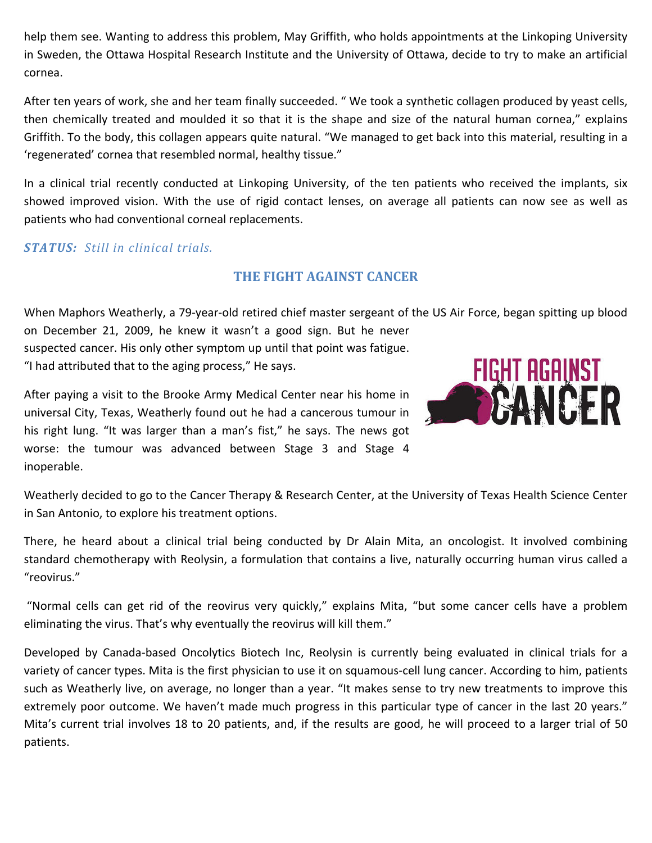help them see. Wanting to address this problem, May Griffith, who holds appointments at the Linkoping University in Sweden, the Ottawa Hospital Research Institute and the University of Ottawa, decide to try to make an artificial cornea.

After ten years of work, she and her team finally succeeded. " We took a synthetic collagen produced by yeast cells, then chemically treated and moulded it so that it is the shape and size of the natural human cornea," explains Griffith. To the body, this collagen appears quite natural. "We managed to get back into this material, resulting in a 'regenerated' cornea that resembled normal, healthy tissue."

In a clinical trial recently conducted at Linkoping University, of the ten patients who received the implants, six showed improved vision. With the use of rigid contact lenses, on average all patients can now see as well as patients who had conventional corneal replacements.

## *STATUS: Still in clinical trials.*

## **THE FIGHT AGAINST CANCER**

When Maphors Weatherly, a 79‐year‐old retired chief master sergeant of the US Air Force, began spitting up blood on December 21, 2009, he knew it wasn't a good sign. But he never

suspected cancer. His only other symptom up until that point was fatigue. "I had attributed that to the aging process," He says.

After paying a visit to the Brooke Army Medical Center near his home in universal City, Texas, Weatherly found out he had a cancerous tumour in his right lung. "It was larger than a man's fist," he says. The news got worse: the tumour was advanced between Stage 3 and Stage 4 inoperable.



Weatherly decided to go to the Cancer Therapy & Research Center, at the University of Texas Health Science Center in San Antonio, to explore his treatment options.

There, he heard about a clinical trial being conducted by Dr Alain Mita, an oncologist. It involved combining standard chemotherapy with Reolysin, a formulation that contains a live, naturally occurring human virus called a "reovirus."

"Normal cells can get rid of the reovirus very quickly," explains Mita, "but some cancer cells have a problem eliminating the virus. That's why eventually the reovirus will kill them."

Developed by Canada-based Oncolytics Biotech Inc, Reolysin is currently being evaluated in clinical trials for a variety of cancer types. Mita is the first physician to use it on squamous‐cell lung cancer. According to him, patients such as Weatherly live, on average, no longer than a year. "It makes sense to try new treatments to improve this extremely poor outcome. We haven't made much progress in this particular type of cancer in the last 20 years." Mita's current trial involves 18 to 20 patients, and, if the results are good, he will proceed to a larger trial of 50 patients.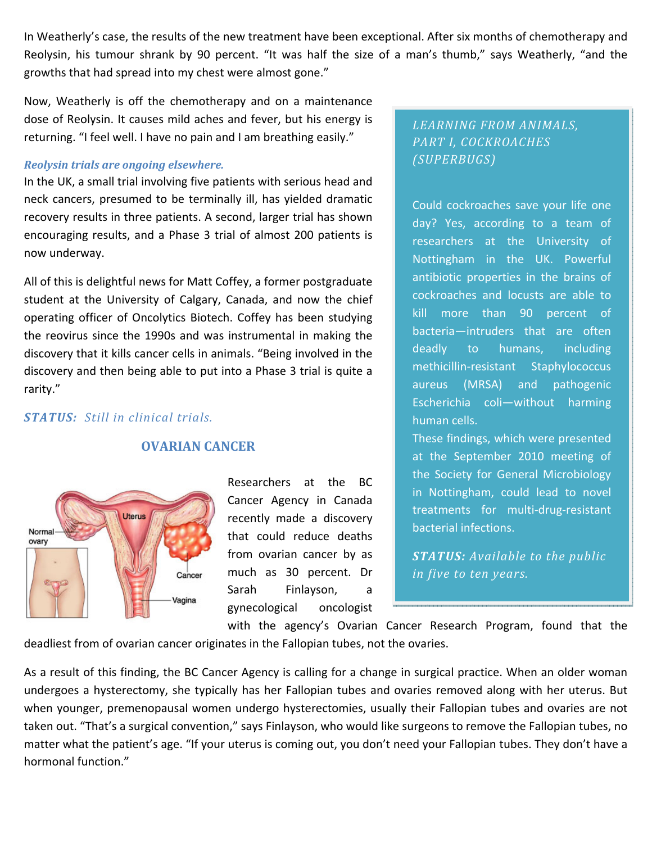In Weatherly's case, the results of the new treatment have been exceptional. After six months of chemotherapy and Reolysin, his tumour shrank by 90 percent. "It was half the size of a man's thumb," says Weatherly, "and the growths that had spread into my chest were almost gone."

Now, Weatherly is off the chemotherapy and on a maintenance dose of Reolysin. It causes mild aches and fever, but his energy is returning. "I feel well. I have no pain and I am breathing easily."

#### *Reolysin trials are ongoing elsewhere.*

In the UK, a small trial involving five patients with serious head and neck cancers, presumed to be terminally ill, has yielded dramatic recovery results in three patients. A second, larger trial has shown encouraging results, and a Phase 3 trial of almost 200 patients is now underway.

All of this is delightful news for Matt Coffey, a former postgraduate student at the University of Calgary, Canada, and now the chief operating officer of Oncolytics Biotech. Coffey has been studying the reovirus since the 1990s and was instrumental in making the discovery that it kills cancer cells in animals. "Being involved in the discovery and then being able to put into a Phase 3 trial is quite a rarity."

## *STATUS: Still in clinical trials.*



## **OVARIAN CANCER**

Researchers at the BC Cancer Agency in Canada recently made a discovery that could reduce deaths from ovarian cancer by as much as 30 percent. Dr Sarah Finlayson, a gynecological oncologist

# *LEARNING FROM ANIMALS, PART I, COCKROACHES (SUPERBUGS)*

Could cockroaches save your life one day? Yes, according to a team of researchers at the University of Nottingham in the UK. Powerful antibiotic properties in the brains of cockroaches and locusts are able to kill more than 90 percent of bacteria—intruders that are often deadly to humans, including methicillin-resistant Staphylococcus aureus (MRSA) and pathogenic Escherichia coli—without harming human cells.

These findings, which were presented at the September 2010 meeting of the Society for General Microbiology in Nottingham, could lead to novel treatments for multi‐drug‐resistant bacterial infections.

*STATUS: Available to the public in five to ten years.*

with the agency's Ovarian Cancer Research Program, found that the deadliest from of ovarian cancer originates in the Fallopian tubes, not the ovaries.

As a result of this finding, the BC Cancer Agency is calling for a change in surgical practice. When an older woman undergoes a hysterectomy, she typically has her Fallopian tubes and ovaries removed along with her uterus. But when younger, premenopausal women undergo hysterectomies, usually their Fallopian tubes and ovaries are not taken out. "That's a surgical convention," says Finlayson, who would like surgeons to remove the Fallopian tubes, no matter what the patient's age. "If your uterus is coming out, you don't need your Fallopian tubes. They don't have a hormonal function."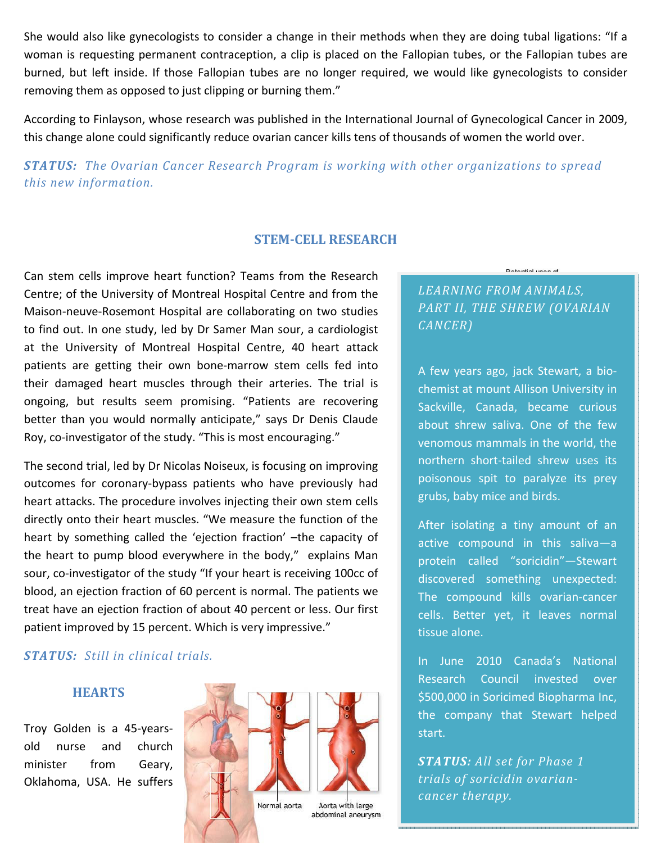She would also like gynecologists to consider a change in their methods when they are doing tubal ligations: "If a woman is requesting permanent contraception, a clip is placed on the Fallopian tubes, or the Fallopian tubes are burned, but left inside. If those Fallopian tubes are no longer required, we would like gynecologists to consider removing them as opposed to just clipping or burning them."

According to Finlayson, whose research was published in the International Journal of Gynecological Cancer in 2009, this change alone could significantly reduce ovarian cancer kills tens of thousands of women the world over.

*STATUS: The Ovarian Cancer Research Program is working with other organizations to spread this new information.*

## **STEMCELL RESEARCH**

Can stem cells improve heart function? Teams from the Research Centre; of the University of Montreal Hospital Centre and from the Maison‐neuve‐Rosemont Hospital are collaborating on two studies to find out. In one study, led by Dr Samer Man sour, a cardiologist at the University of Montreal Hospital Centre, 40 heart attack patients are getting their own bone‐marrow stem cells fed into their damaged heart muscles through their arteries. The trial is ongoing, but results seem promising. "Patients are recovering better than you would normally anticipate," says Dr Denis Claude Roy, co‐investigator of the study. "This is most encouraging."

The second trial, led by Dr Nicolas Noiseux, is focusing on improving outcomes for coronary‐bypass patients who have previously had heart attacks. The procedure involves injecting their own stem cells directly onto their heart muscles. "We measure the function of the heart by something called the 'ejection fraction' –the capacity of the heart to pump blood everywhere in the body," explains Man sour, co-investigator of the study "If your heart is receiving 100cc of blood, an ejection fraction of 60 percent is normal. The patients we treat have an ejection fraction of about 40 percent or less. Our first patient improved by 15 percent. Which is very impressive."

## *STATUS: Still in clinical trials.*

#### **HEARTS**

Troy Golden is a 45‐years‐ old nurse and church minister from Geary, Oklahoma, USA. He suffers



# *LEARNING FROM ANIMALS, PART II, THE SHREW (OVARIAN CANCER)*

Datamial uses of

A few years ago, jack Stewart, a bio‐ chemist at mount Allison University in Sackville, Canada, became curious about shrew saliva. One of the few venomous mammals in the world, the northern short‐tailed shrew uses its poisonous spit to paralyze its prey grubs, baby mice and birds.

After isolating a tiny amount of an active compound in this saliva—a protein called "soricidin"—Stewart discovered something unexpected: The compound kills ovarian‐cancer cells. Better yet, it leaves normal tissue alone.

In June 2010 Canada's National Research Council invested over \$500,000 in Soricimed Biopharma Inc, the company that Stewart helped start.

*STATUS: All set for Phase 1 trials of soricidin ovariancancer therapy.*